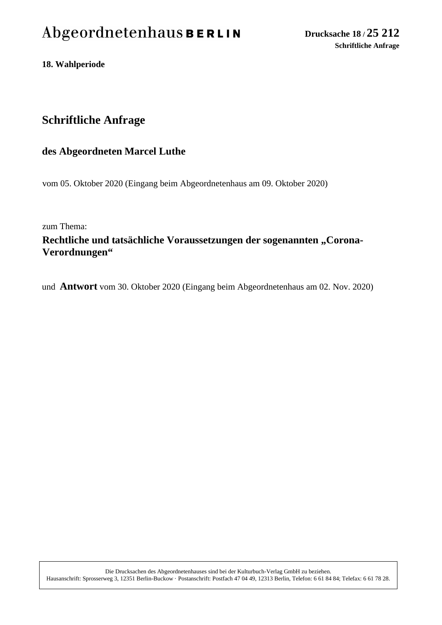# Abgeordnetenhaus BERLIN

**18. Wahlperiode**

## **Schriftliche Anfrage**

#### **des Abgeordneten Marcel Luthe**

vom 05. Oktober 2020 (Eingang beim Abgeordnetenhaus am 09. Oktober 2020)

zum Thema:

### Rechtliche und tatsächliche Voraussetzungen der sogenannten "Corona-**Verordnungen"**

und **Antwort** vom 30. Oktober 2020 (Eingang beim Abgeordnetenhaus am 02. Nov. 2020)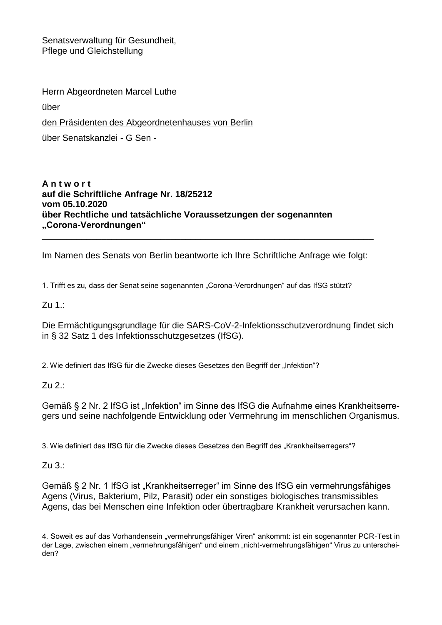Senatsverwaltung für Gesundheit, Pflege und Gleichstellung

Herrn Abgeordneten Marcel Luthe

über

den Präsidenten des Abgeordnetenhauses von Berlin

über Senatskanzlei - G Sen -

#### **A n t w o r t auf die Schriftliche Anfrage Nr. 18/25212 vom 05.10.2020 über Rechtliche und tatsächliche Voraussetzungen der sogenannten "Corona-Verordnungen"**

Im Namen des Senats von Berlin beantworte ich Ihre Schriftliche Anfrage wie folgt:

\_\_\_\_\_\_\_\_\_\_\_\_\_\_\_\_\_\_\_\_\_\_\_\_\_\_\_\_\_\_\_\_\_\_\_\_\_\_\_\_\_\_\_\_\_\_\_\_\_\_\_\_\_\_\_\_\_\_\_\_\_\_\_\_\_\_\_

1. Trifft es zu, dass der Senat seine sogenannten "Corona-Verordnungen" auf das IfSG stützt?

Zu 1.:

Die Ermächtigungsgrundlage für die SARS-CoV-2-Infektionsschutzverordnung findet sich in § 32 Satz 1 des Infektionsschutzgesetzes (IfSG).

2. Wie definiert das IfSG für die Zwecke dieses Gesetzes den Begriff der "Infektion"?

Zu 2.:

Gemäß § 2 Nr. 2 IfSG ist "Infektion" im Sinne des IfSG die Aufnahme eines Krankheitserregers und seine nachfolgende Entwicklung oder Vermehrung im menschlichen Organismus.

3. Wie definiert das IfSG für die Zwecke dieses Gesetzes den Begriff des "Krankheitserregers"?

Zu 3.:

Gemäß § 2 Nr. 1 IfSG ist "Krankheitserreger" im Sinne des IfSG ein vermehrungsfähiges Agens (Virus, Bakterium, Pilz, Parasit) oder ein sonstiges biologisches transmissibles Agens, das bei Menschen eine Infektion oder übertragbare Krankheit verursachen kann.

4. Soweit es auf das Vorhandensein "vermehrungsfähiger Viren" ankommt: ist ein sogenannter PCR-Test in der Lage, zwischen einem "vermehrungsfähigen" und einem "nicht-vermehrungsfähigen" Virus zu unterscheiden?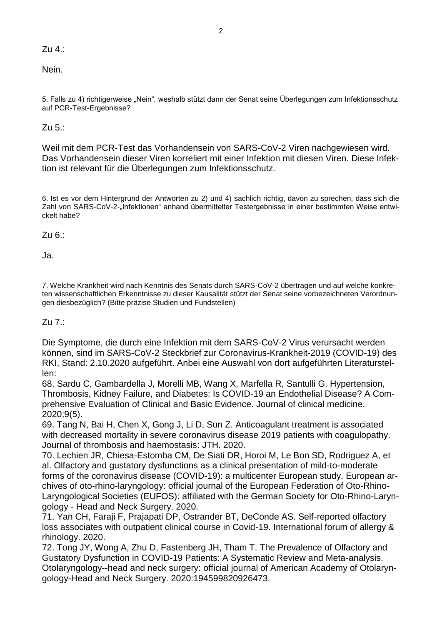Zu 4.:

Nein.

5. Falls zu 4) richtigerweise "Nein", weshalb stützt dann der Senat seine Überlegungen zum Infektionsschutz auf PCR-Test-Ergebnisse?

Zu 5.:

Weil mit dem PCR-Test das Vorhandensein von SARS-CoV-2 Viren nachgewiesen wird. Das Vorhandensein dieser Viren korreliert mit einer Infektion mit diesen Viren. Diese Infektion ist relevant für die Überlegungen zum Infektionsschutz.

6. Ist es vor dem Hintergrund der Antworten zu 2) und 4) sachlich richtig, davon zu sprechen, dass sich die Zahl von SARS-CoV-2-"Infektionen" anhand übermittelter Testergebnisse in einer bestimmten Weise entwickelt habe?

Zu 6.:

Ja.

7. Welche Krankheit wird nach Kenntnis des Senats durch SARS-CoV-2 übertragen und auf welche konkreten wissenschaftlichen Erkenntnisse zu dieser Kausalität stützt der Senat seine vorbezeichneten Verordnungen diesbezüglich? (Bitte präzise Studien und Fundstellen)

Zu 7.:

Die Symptome, die durch eine Infektion mit dem SARS-CoV-2 Virus verursacht werden können, sind im SARS-CoV-2 Steckbrief zur Coronavirus-Krankheit-2019 (COVID-19) des RKI, Stand: 2.10.2020 aufgeführt. Anbei eine Auswahl von dort aufgeführten Literaturstellen:

68. Sardu C, Gambardella J, Morelli MB, Wang X, Marfella R, Santulli G. Hypertension, Thrombosis, Kidney Failure, and Diabetes: Is COVID-19 an Endothelial Disease? A Comprehensive Evaluation of Clinical and Basic Evidence. Journal of clinical medicine. 2020;9(5).

69. Tang N, Bai H, Chen X, Gong J, Li D, Sun Z. Anticoagulant treatment is associated with decreased mortality in severe coronavirus disease 2019 patients with coagulopathy. Journal of thrombosis and haemostasis: JTH. 2020.

70. Lechien JR, Chiesa-Estomba CM, De Siati DR, Horoi M, Le Bon SD, Rodriguez A, et al. Olfactory and gustatory dysfunctions as a clinical presentation of mild-to-moderate forms of the coronavirus disease (COVID-19): a multicenter European study. European archives of oto-rhino-laryngology: official journal of the European Federation of Oto-Rhino-Laryngological Societies (EUFOS): affiliated with the German Society for Oto-Rhino-Laryngology - Head and Neck Surgery. 2020.

71. Yan CH, Faraji F, Prajapati DP, Ostrander BT, DeConde AS. Self-reported olfactory loss associates with outpatient clinical course in Covid-19. International forum of allergy & rhinology. 2020.

72. Tong JY, Wong A, Zhu D, Fastenberg JH, Tham T. The Prevalence of Olfactory and Gustatory Dysfunction in COVID-19 Patients: A Systematic Review and Meta-analysis. Otolaryngology--head and neck surgery: official journal of American Academy of Otolaryngology-Head and Neck Surgery. 2020:194599820926473.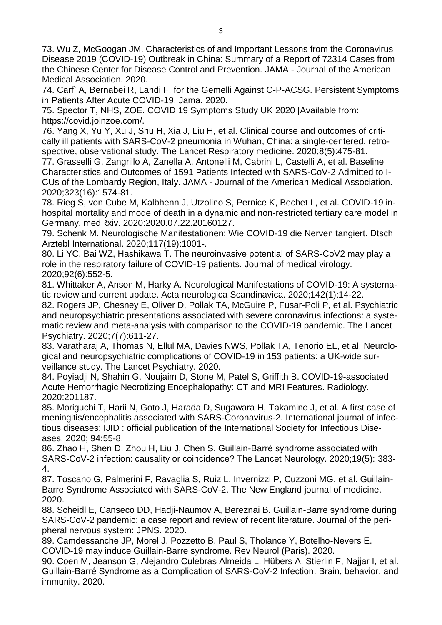73. Wu Z, McGoogan JM. Characteristics of and Important Lessons from the Coronavirus Disease 2019 (COVID-19) Outbreak in China: Summary of a Report of 72314 Cases from the Chinese Center for Disease Control and Prevention. JAMA - Journal of the American Medical Association. 2020.

74. Carfì A, Bernabei R, Landi F, for the Gemelli Against C-P-ACSG. Persistent Symptoms in Patients After Acute COVID-19. Jama. 2020.

75. Spector T, NHS, ZOE. COVID 19 Symptoms Study UK 2020 [Available from: https://covid.joinzoe.com/.

76. Yang X, Yu Y, Xu J, Shu H, Xia J, Liu H, et al. Clinical course and outcomes of critically ill patients with SARS-CoV-2 pneumonia in Wuhan, China: a single-centered, retrospective, observational study. The Lancet Respiratory medicine. 2020;8(5):475-81.

77. Grasselli G, Zangrillo A, Zanella A, Antonelli M, Cabrini L, Castelli A, et al. Baseline Characteristics and Outcomes of 1591 Patients Infected with SARS-CoV-2 Admitted to I-CUs of the Lombardy Region, Italy. JAMA - Journal of the American Medical Association. 2020;323(16):1574-81.

78. Rieg S, von Cube M, Kalbhenn J, Utzolino S, Pernice K, Bechet L, et al. COVID-19 inhospital mortality and mode of death in a dynamic and non-restricted tertiary care model in Germany. medRxiv. 2020:2020.07.22.20160127.

79. Schenk M. Neurologische Manifestationen: Wie COVID-19 die Nerven tangiert. Dtsch Arztebl International. 2020;117(19):1001-.

80. Li YC, Bai WZ, Hashikawa T. The neuroinvasive potential of SARS-CoV2 may play a role in the respiratory failure of COVID-19 patients. Journal of medical virology. 2020;92(6):552-5.

81. Whittaker A, Anson M, Harky A. Neurological Manifestations of COVID-19: A systematic review and current update. Acta neurologica Scandinavica. 2020;142(1):14-22.

82. Rogers JP, Chesney E, Oliver D, Pollak TA, McGuire P, Fusar-Poli P, et al. Psychiatric and neuropsychiatric presentations associated with severe coronavirus infections: a systematic review and meta-analysis with comparison to the COVID-19 pandemic. The Lancet Psychiatry. 2020;7(7):611-27.

83. Varatharaj A, Thomas N, Ellul MA, Davies NWS, Pollak TA, Tenorio EL, et al. Neurological and neuropsychiatric complications of COVID-19 in 153 patients: a UK-wide surveillance study. The Lancet Psychiatry. 2020.

84. Poyiadji N, Shahin G, Noujaim D, Stone M, Patel S, Griffith B. COVID-19-associated Acute Hemorrhagic Necrotizing Encephalopathy: CT and MRI Features. Radiology. 2020:201187.

85. Moriguchi T, Harii N, Goto J, Harada D, Sugawara H, Takamino J, et al. A first case of meningitis/encephalitis associated with SARS-Coronavirus-2. International journal of infectious diseases: IJID : official publication of the International Society for Infectious Diseases. 2020; 94:55-8.

86. Zhao H, Shen D, Zhou H, Liu J, Chen S. Guillain-Barré syndrome associated with SARS-CoV-2 infection: causality or coincidence? The Lancet Neurology. 2020;19(5): 383- 4.

87. Toscano G, Palmerini F, Ravaglia S, Ruiz L, Invernizzi P, Cuzzoni MG, et al. Guillain-Barre Syndrome Associated with SARS-CoV-2. The New England journal of medicine. 2020.

88. Scheidl E, Canseco DD, Hadji-Naumov A, Bereznai B. Guillain-Barre syndrome during SARS-CoV-2 pandemic: a case report and review of recent literature. Journal of the peripheral nervous system: JPNS. 2020.

89. Camdessanche JP, Morel J, Pozzetto B, Paul S, Tholance Y, Botelho-Nevers E. COVID-19 may induce Guillain-Barre syndrome. Rev Neurol (Paris). 2020.

90. Coen M, Jeanson G, Alejandro Culebras Almeida L, Hübers A, Stierlin F, Najjar I, et al. Guillain-Barré Syndrome as a Complication of SARS-CoV-2 Infection. Brain, behavior, and immunity. 2020.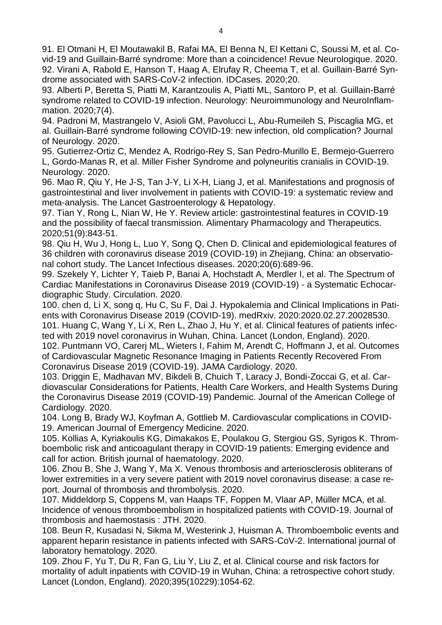91. El Otmani H, El Moutawakil B, Rafai MA, El Benna N, El Kettani C, Soussi M, et al. Covid-19 and Guillain-Barré syndrome: More than a coincidence! Revue Neurologique. 2020. 92. Virani A, Rabold E, Hanson T, Haag A, Elrufay R, Cheema T, et al. Guillain-Barré Syndrome associated with SARS-CoV-2 infection. IDCases. 2020;20.

93. Alberti P, Beretta S, Piatti M, Karantzoulis A, Piatti ML, Santoro P, et al. Guillain-Barré syndrome related to COVID-19 infection. Neurology: Neuroimmunology and NeuroInflammation. 2020;7(4).

94. Padroni M, Mastrangelo V, Asioli GM, Pavolucci L, Abu-Rumeileh S, Piscaglia MG, et al. Guillain-Barré syndrome following COVID-19: new infection, old complication? Journal of Neurology. 2020.

95. Gutierrez-Ortiz C, Mendez A, Rodrigo-Rey S, San Pedro-Murillo E, Bermejo-Guerrero L, Gordo-Manas R, et al. Miller Fisher Syndrome and polyneuritis cranialis in COVID-19. Neurology. 2020.

96. Mao R, Qiu Y, He J-S, Tan J-Y, Li X-H, Liang J, et al. Manifestations and prognosis of gastrointestinal and liver involvement in patients with COVID-19: a systematic review and meta-analysis. The Lancet Gastroenterology & Hepatology.

97. Tian Y, Rong L, Nian W, He Y. Review article: gastrointestinal features in COVID-19 and the possibility of faecal transmission. Alimentary Pharmacology and Therapeutics. 2020;51(9):843-51.

98. Qiu H, Wu J, Hong L, Luo Y, Song Q, Chen D. Clinical and epidemiological features of 36 children with coronavirus disease 2019 (COVID-19) in Zhejiang, China: an observational cohort study. The Lancet Infectious diseases. 2020;20(6):689-96.

99. Szekely Y, Lichter Y, Taieb P, Banai A, Hochstadt A, Merdler I, et al. The Spectrum of Cardiac Manifestations in Coronavirus Disease 2019 (COVID-19) - a Systematic Echocardiographic Study. Circulation. 2020.

100. chen d, Li X, song q, Hu C, Su F, Dai J. Hypokalemia and Clinical Implications in Patients with Coronavirus Disease 2019 (COVID-19). medRxiv. 2020:2020.02.27.20028530. 101. Huang C, Wang Y, Li X, Ren L, Zhao J, Hu Y, et al. Clinical features of patients infected with 2019 novel coronavirus in Wuhan, China. Lancet (London, England). 2020.

102. Puntmann VO, Carerj ML, Wieters I, Fahim M, Arendt C, Hoffmann J, et al. Outcomes of Cardiovascular Magnetic Resonance Imaging in Patients Recently Recovered From Coronavirus Disease 2019 (COVID-19). JAMA Cardiology. 2020.

103. Driggin E, Madhavan MV, Bikdeli B, Chuich T, Laracy J, Bondi-Zoccai G, et al. Cardiovascular Considerations for Patients, Health Care Workers, and Health Systems During the Coronavirus Disease 2019 (COVID-19) Pandemic. Journal of the American College of Cardiology. 2020.

104. Long B, Brady WJ, Koyfman A, Gottlieb M. Cardiovascular complications in COVID-19. American Journal of Emergency Medicine. 2020.

105. Kollias A, Kyriakoulis KG, Dimakakos E, Poulakou G, Stergiou GS, Syrigos K. Thromboembolic risk and anticoagulant therapy in COVID-19 patients: Emerging evidence and call for action. British journal of haematology. 2020.

106. Zhou B, She J, Wang Y, Ma X. Venous thrombosis and arteriosclerosis obliterans of lower extremities in a very severe patient with 2019 novel coronavirus disease: a case report. Journal of thrombosis and thrombolysis. 2020.

107. Middeldorp S, Coppens M, van Haaps TF, Foppen M, Vlaar AP, Müller MCA, et al. Incidence of venous thromboembolism in hospitalized patients with COVID-19. Journal of thrombosis and haemostasis : JTH. 2020.

108. Beun R, Kusadasi N, Sikma M, Westerink J, Huisman A. Thromboembolic events and apparent heparin resistance in patients infected with SARS-CoV-2. International journal of laboratory hematology. 2020.

109. Zhou F, Yu T, Du R, Fan G, Liu Y, Liu Z, et al. Clinical course and risk factors for mortality of adult inpatients with COVID-19 in Wuhan, China: a retrospective cohort study. Lancet (London, England). 2020;395(10229):1054-62.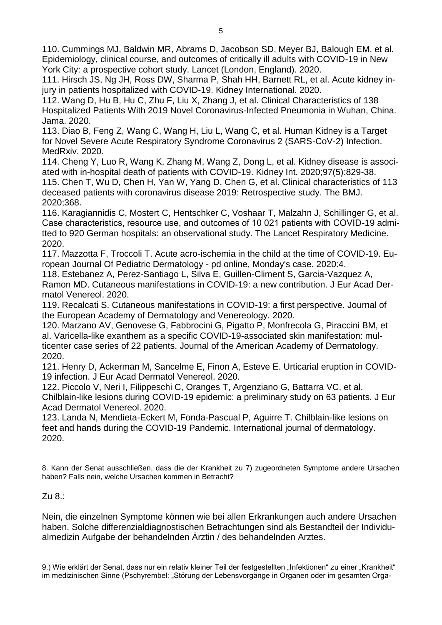110. Cummings MJ, Baldwin MR, Abrams D, Jacobson SD, Meyer BJ, Balough EM, et al. Epidemiology, clinical course, and outcomes of critically ill adults with COVID-19 in New York City: a prospective cohort study. Lancet (London, England). 2020.

111. Hirsch JS, Ng JH, Ross DW, Sharma P, Shah HH, Barnett RL, et al. Acute kidney injury in patients hospitalized with COVID-19. Kidney International. 2020.

112. Wang D, Hu B, Hu C, Zhu F, Liu X, Zhang J, et al. Clinical Characteristics of 138 Hospitalized Patients With 2019 Novel Coronavirus-Infected Pneumonia in Wuhan, China. Jama. 2020.

113. Diao B, Feng Z, Wang C, Wang H, Liu L, Wang C, et al. Human Kidney is a Target for Novel Severe Acute Respiratory Syndrome Coronavirus 2 (SARS-CoV-2) Infection. MedRxiv. 2020.

114. Cheng Y, Luo R, Wang K, Zhang M, Wang Z, Dong L, et al. Kidney disease is associated with in-hospital death of patients with COVID-19. Kidney Int. 2020;97(5):829-38. 115. Chen T, Wu D, Chen H, Yan W, Yang D, Chen G, et al. Clinical characteristics of 113 deceased patients with coronavirus disease 2019: Retrospective study. The BMJ. 2020;368.

116. Karagiannidis C, Mostert C, Hentschker C, Voshaar T, Malzahn J, Schillinger G, et al. Case characteristics, resource use, and outcomes of 10 021 patients with COVID-19 admitted to 920 German hospitals: an observational study. The Lancet Respiratory Medicine. 2020.

117. Mazzotta F, Troccoli T. Acute acro-ischemia in the child at the time of COVID-19. European Journal Of Pediatric Dermatology - pd online, Monday's case. 2020:4.

118. Estebanez A, Perez-Santiago L, Silva E, Guillen-Climent S, Garcia-Vazquez A, Ramon MD. Cutaneous manifestations in COVID-19: a new contribution. J Eur Acad Dermatol Venereol. 2020.

119. Recalcati S. Cutaneous manifestations in COVID-19: a first perspective. Journal of the European Academy of Dermatology and Venereology. 2020.

120. Marzano AV, Genovese G, Fabbrocini G, Pigatto P, Monfrecola G, Piraccini BM, et al. Varicella-like exanthem as a specific COVID-19-associated skin manifestation: multicenter case series of 22 patients. Journal of the American Academy of Dermatology. 2020.

121. Henry D, Ackerman M, Sancelme E, Finon A, Esteve E. Urticarial eruption in COVID-19 infection. J Eur Acad Dermatol Venereol. 2020.

122. Piccolo V, Neri I, Filippeschi C, Oranges T, Argenziano G, Battarra VC, et al. Chilblain-like lesions during COVID-19 epidemic: a preliminary study on 63 patients. J Eur Acad Dermatol Venereol. 2020.

123. Landa N, Mendieta-Eckert M, Fonda-Pascual P, Aguirre T. Chilblain-like lesions on feet and hands during the COVID-19 Pandemic. International journal of dermatology. 2020.

8. Kann der Senat ausschließen, dass die der Krankheit zu 7) zugeordneten Symptome andere Ursachen haben? Falls nein, welche Ursachen kommen in Betracht?

Zu 8.:

Nein, die einzelnen Symptome können wie bei allen Erkrankungen auch andere Ursachen haben. Solche differenzialdiagnostischen Betrachtungen sind als Bestandteil der Individualmedizin Aufgabe der behandelnden Ärztin / des behandelnden Arztes.

9.) Wie erklärt der Senat, dass nur ein relativ kleiner Teil der festgestellten "Infektionen" zu einer "Krankheit" im medizinischen Sinne (Pschyrembel: "Störung der Lebensvorgänge in Organen oder im gesamten Orga-